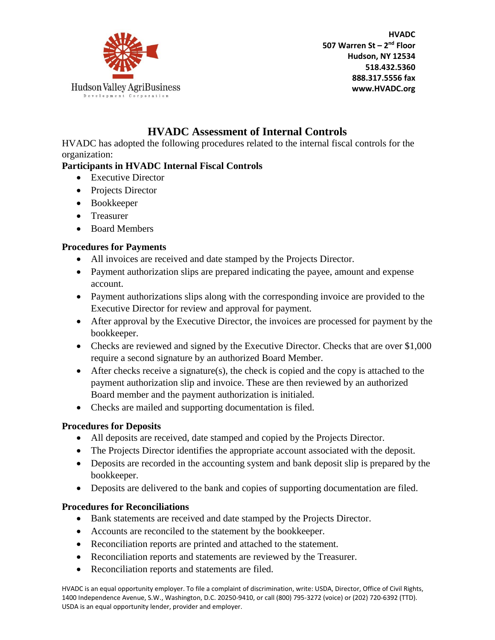

**HVADC 507 Warren St – 2 nd Floor Hudson, NY 12534 518.432.5360 888.317.5556 fax www.HVADC.org**

# **HVADC Assessment of Internal Controls**

HVADC has adopted the following procedures related to the internal fiscal controls for the organization:

## **Participants in HVADC Internal Fiscal Controls**

- Executive Director
- Projects Director
- Bookkeeper
- Treasurer
- Board Members

## **Procedures for Payments**

- All invoices are received and date stamped by the Projects Director.
- Payment authorization slips are prepared indicating the payee, amount and expense account.
- Payment authorizations slips along with the corresponding invoice are provided to the Executive Director for review and approval for payment.
- After approval by the Executive Director, the invoices are processed for payment by the bookkeeper.
- Checks are reviewed and signed by the Executive Director. Checks that are over \$1,000 require a second signature by an authorized Board Member.
- After checks receive a signature(s), the check is copied and the copy is attached to the payment authorization slip and invoice. These are then reviewed by an authorized Board member and the payment authorization is initialed.
- Checks are mailed and supporting documentation is filed.

## **Procedures for Deposits**

- All deposits are received, date stamped and copied by the Projects Director.
- The Projects Director identifies the appropriate account associated with the deposit.
- Deposits are recorded in the accounting system and bank deposit slip is prepared by the bookkeeper.
- Deposits are delivered to the bank and copies of supporting documentation are filed.

## **Procedures for Reconciliations**

- Bank statements are received and date stamped by the Projects Director.
- Accounts are reconciled to the statement by the bookkeeper.
- Reconciliation reports are printed and attached to the statement.
- Reconciliation reports and statements are reviewed by the Treasurer.
- Reconciliation reports and statements are filed.

HVADC is an equal opportunity employer. To file a complaint of discrimination, write: USDA, Director, Office of Civil Rights, 1400 Independence Avenue, S.W., Washington, D.C. 20250-9410, or call (800) 795-3272 (voice) or (202) 720-6392 (TTD). USDA is an equal opportunity lender, provider and employer.